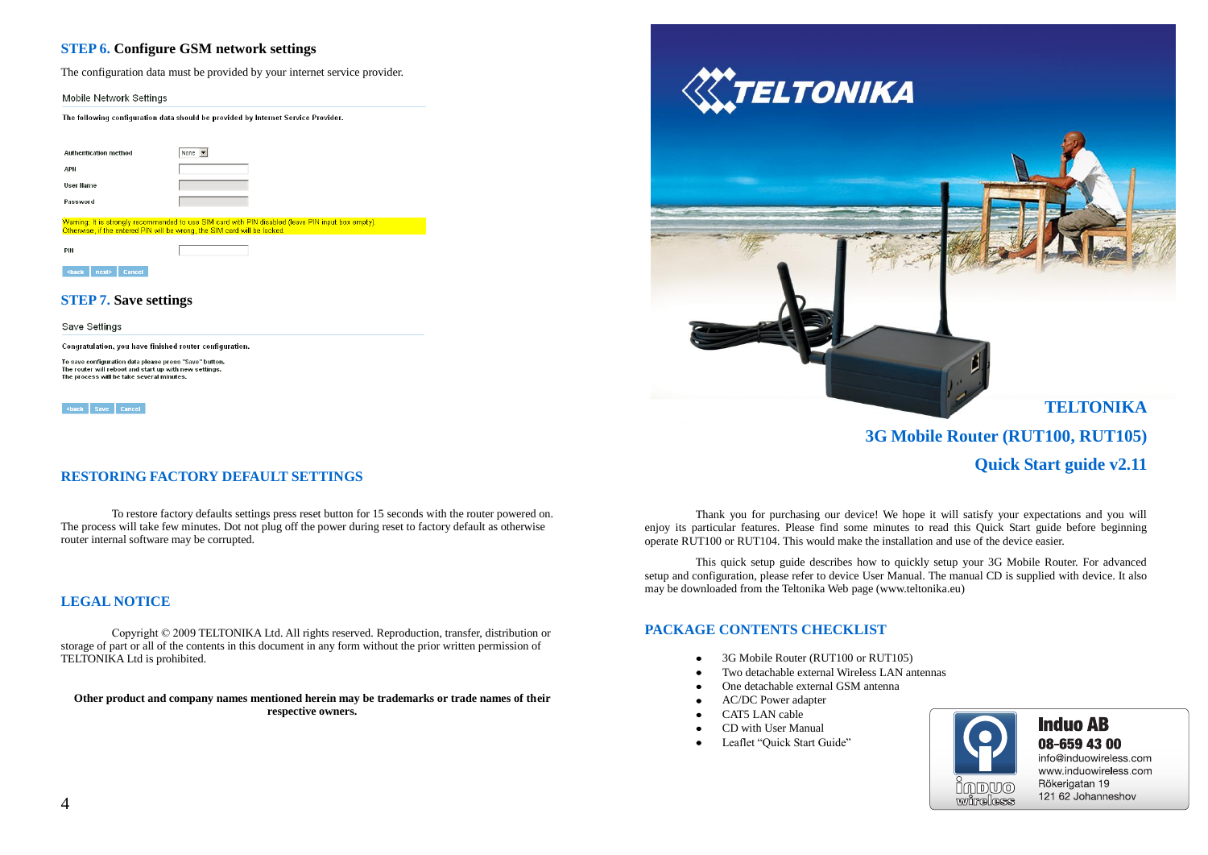## **STEP 6. Configure GSM network settings**

The configuration data must be provided by your internet service provider.

Mobile Network Settings

The following configuration data should be provided by Internet Service Provider.

| <b>Authentication method</b> | None -                                                                                                                                                                          |
|------------------------------|---------------------------------------------------------------------------------------------------------------------------------------------------------------------------------|
| APN                          |                                                                                                                                                                                 |
| User Hame                    |                                                                                                                                                                                 |
| Password                     |                                                                                                                                                                                 |
|                              |                                                                                                                                                                                 |
|                              | Warning: It is strongly recommended to use SIM card with PIN disabled (leave PIN input box empty).<br>Otherwise, if the entered PIN will be wrong, the SIM card will be locked. |
| PIN                          |                                                                                                                                                                                 |

### **STEP 7. Save settings**

Save Settings

Congratulation, you have finished router configuration.

To save configuration data please press "Save" button. The router will reboot and start up with new settings. The process will be take several minutes.

<br /> **Save Cancel** 

# **RESTORING FACTORY DEFAULT SETTINGS**

To restore factory defaults settings press reset button for 15 seconds with the router powered on. The process will take few minutes. Dot not plug off the power during reset to factory default as otherwise router internal software may be corrupted.

## **LEGAL NOTICE**

Copyright © 2009 TELTONIKA Ltd. All rights reserved. Reproduction, transfer, distribution or storage of part or all of the contents in this document in any form without the prior written permission of TELTONIKA Ltd is prohibited.

**Other product and company names mentioned herein may be trademarks or trade names of their respective owners.**



**3G Mobile Router (RUT100, RUT105)**

**Quick Start guide v2.11**

Thank you for purchasing our device! We hope it will satisfy your expectations and you will enjoy its particular features. Please find some minutes to read this Quick Start guide before beginning operate RUT100 or RUT104. This would make the installation and use of the device easier.

This quick setup guide describes how to quickly setup your 3G Mobile Router. For advanced setup and configuration, please refer to device User Manual. The manual CD is supplied with device. It also may be downloaded from the Teltonika Web page [\(www.teltonika.eu\)](http://www.teltonika.eu/)

# **PACKAGE CONTENTS CHECKLIST**

- 3G Mobile Router (RUT100 or RUT105)  $\bullet$
- Two detachable external Wireless LAN antennas
- One detachable external GSM antenna
- AC/DC Power adapter  $\bullet$
- CAT5 LAN cable  $\bullet$
- CD with User Manual  $\bullet$
- Leaflet "Quick Start Guide" $\bullet$



# **Induo AB** 08-659 43 00

info@induowireless.com www.induowireless.com Rökerigatan 19 121 62 Johanneshov